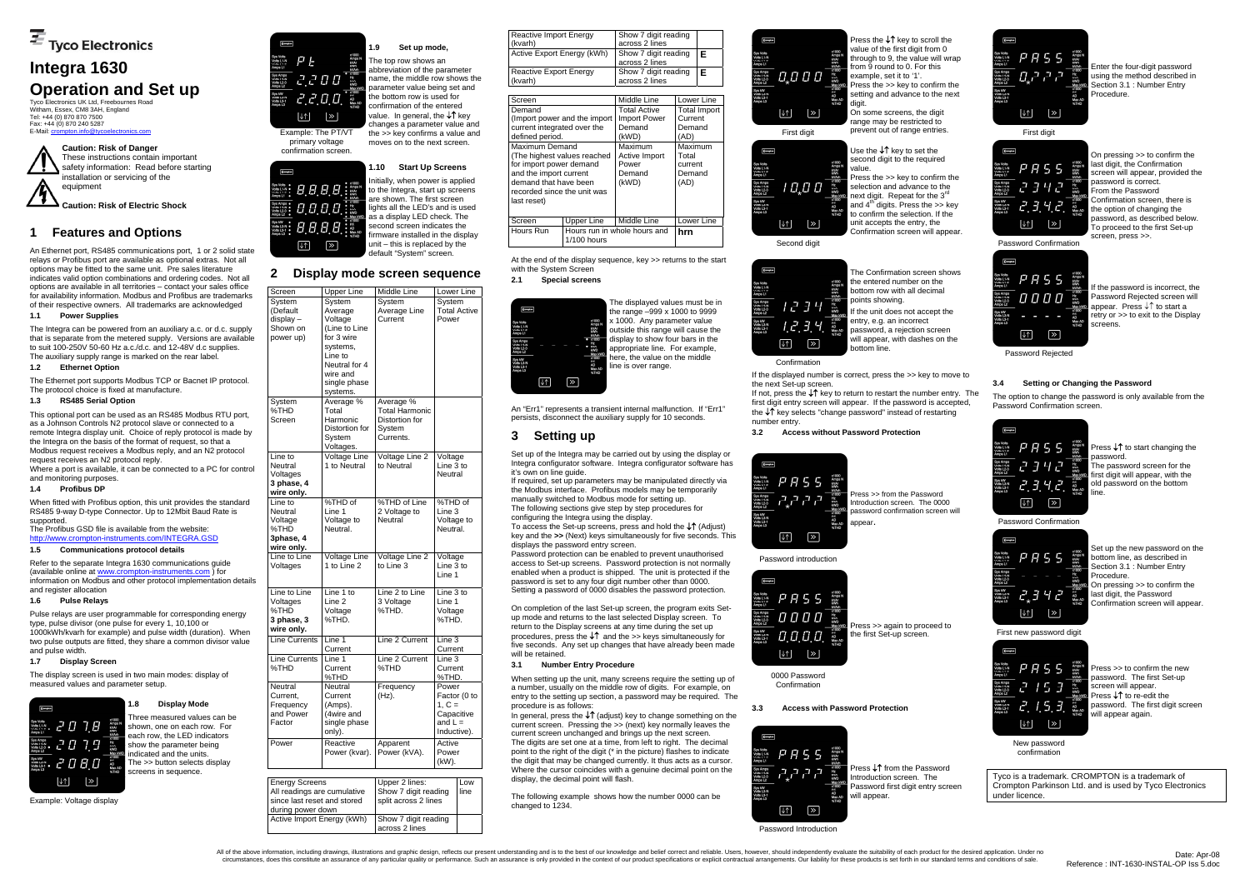Tyco Electronics UK Ltd, Freebournes Road Witham, Essex, CM8 3AH, England Tel: +44 (0) 870 870 7500 Fax: +44 (0) 870 240 5287 E-Mail: crompton.info@ty



# **Integra 1630 Operation and Set up**

The Integra can be powered from an auxiliary a.c. or d.c. supply that is separate from the metered supply. Versions are available to suit 100-250V 50-60 Hz a.c./d.c. and 12-48V d.c supplies. The auxiliary supply range is marked on the rear label.

# **1 Features and Options**

An Ethernet port, RS485 communications port, 1 or 2 solid state relays or Profibus port are available as optional extras. Not all options may be fitted to the same unit. Pre sales literature indicates valid option combinations and ordering codes. Not all options are available in all territories – contact your sales office for availability information. Modbus and Profibus are trademarks of their respective owners. All trademarks are acknowledged

#### **1.1 Power Supplies**

### **1.2 Ethernet Option**

The Ethernet port supports Modbus TCP or Bacnet IP protocol. The protocol choice is fixed at manufacture.

#### **1.3 RS485 Serial Option**

This optional port can be used as an RS485 Modbus RTU port, as a Johnson Controls N2 protocol slave or connected to a remote Integra display unit. Choice of reply protocol is made by the Integra on the basis of the format of request, so that a Modbus request receives a Modbus reply, and an N2 protocol request receives an N2 protocol reply.

Where a port is available, it can be connected to a PC for control and monitoring purposes.

#### **1.4 Profibus DP**

When fitted with Profibus option, this unit provides the standard RS485 9-way D-type Connector. Up to 12Mbit Baud Rate is supported.

The Profibus GSD file is available from the website: http://www.crompton-instruments.com/INTEGRA.GSD

# **1.5 Communications protocol details**

Refer to the separate Integra 1630 communications guide (available online at www.crompton-instruments.com ) for information on Modbus and other protocol implementation details and register allocation

### **1.6 Pulse Relays**

Pulse relays are user programmable for corresponding energy type, pulse divisor (one pulse for every 1, 10,100 or 1000kWh/kvarh for example) and pulse width (duration). When two pulse outputs are fitted, they share a common divisor value and pulse width.

#### **1.7 Display Screen**

The display screen is used in two main modes: display of measured values and parameter setup.



Example: Voltage display

# **1.8 Display Mode**

Three measured values can be shown, one on each row. For each row, the LED indicators show the parameter being indicated and the units. The >> button selects display screens in sequence.



primary voltage confirmation screen.

**AAAA** 

8888

8888

 $\overline{\mathscr{C}}$ 

 $\sqrt{2}$ 

**Compton** 

**1.9 Set up mode,**  The top row shows an

abbreviation of the parameter name, the middle row shows the parameter value being set and the bottom row is used for confirmation of the entered value. In general, the ↓↑ kev changes a parameter value and the >> key confirms a value and moves on to the next screen.

#### **1.10 Start Up Screens**

Initially, when power is applied to the Integra, start up screens are shown. The first screen lights all the LED's and is used as a display LED check. The second screen indicates the firmware installed in the display unit – this is replaced by the default "System" screen.

# **2 Display mode screen sequence**

When setting up the unit, many screens require the setting up of a number, usually on the middle row of digits. For example, on entry to the setting up section, a password may be required. The procedure is as follows:

In general, press the ↓↑ (adjust) key to change something on the current screen. Pressing the >> (next) key normally leaves the current screen unchanged and brings up the next screen. The digits are set one at a time, from left to right. The decimal point to the right of the digit (\* in the picture) flashes to indicate the digit that may be changed currently. It thus acts as a cursor. Where the cursor coincides with a genuine decimal point on the display, the decimal point will flash.

Press the ↓↑ key to scroll the value of the first digit from 0 through to 9, the value will wrap from 9 round to 0. For this example, set it to '1'. Press the >> key to confirm the setting and advance to the next

Use the ↓↑ key to set the second digit to the required

| Screen                                                           | Upper Line                                                              | Middle Line                                                                 | Lower Line                                                                  |
|------------------------------------------------------------------|-------------------------------------------------------------------------|-----------------------------------------------------------------------------|-----------------------------------------------------------------------------|
| System<br>(Default<br>$display -$<br>Shown on<br>power up)       | System<br>Average<br>Voltage<br>(Line to Line<br>for 3 wire             | System<br>Average Line<br>Current                                           | System<br><b>Total Active</b><br>Power                                      |
|                                                                  | systems,<br>Line to<br>Neutral for 4<br>wire and                        |                                                                             |                                                                             |
|                                                                  | single phase<br>systems.                                                |                                                                             |                                                                             |
| System<br>%THD<br>Screen                                         | Average %<br>Total<br>Harmonic<br>Distortion for<br>System<br>Voltages. | Average %<br><b>Total Harmonic</b><br>Distortion for<br>System<br>Currents. |                                                                             |
| Line to<br>Neutral<br>Voltages<br>3 phase, 4<br>wire only.       | <b>Voltage Line</b><br>1 to Neutral                                     | Voltage Line 2<br>to Neutral                                                | Voltage<br>Line 3 to<br>Neutral                                             |
| Line to<br>Neutral<br>Voltage<br>%THD<br>3phase, 4<br>wire only. | %THD of<br>Line 1<br>Voltage to<br>Neutral.                             | %THD of Line<br>2 Voltage to<br>Neutral                                     | %THD of<br>Line 3<br>Voltage to<br>Neutral.                                 |
| Line to Line<br>Voltages                                         | <b>Voltage Line</b><br>1 to Line 2                                      | Voltage Line 2<br>to Line 3                                                 | Voltage<br>Line 3 to<br>Line 1                                              |
| Line to Line<br>Voltages<br>%THD<br>3 phase, 3<br>wire only.     | Line 1 to<br>Line <sub>2</sub><br>Voltage<br>%THD.                      | Line 2 to Line<br>3 Voltage<br>%THD.                                        | Line 3 to<br>Line 1<br>Voltage<br>%THD.                                     |
| Line Currents                                                    | Line 1<br>Current                                                       | Line 2 Current                                                              | Line 3<br>Current                                                           |
| <b>Line Currents</b><br>%THD                                     | Line 1<br>Current<br>%THD                                               | Line 2 Current<br>%THD                                                      | Line 3<br>Current<br>%THD.                                                  |
| Neutral<br>Current,<br>Frequency<br>and Power<br>Factor          | Neutral<br>Current<br>(Amps).<br>(4wire and<br>single phase<br>only).   | Frequency<br>(Hz).                                                          | Power<br>Factor (0 to<br>$1, C =$<br>Capacitive<br>and $L =$<br>Inductive). |
| Power                                                            | Reactive<br>Power (kvar).                                               | Apparent<br>Power (kVA).                                                    | Active<br>Power<br>(kW).                                                    |

Press ↓↑ from the Password Introduction screen. The Password first digit entry screen will appear

Enter the four-digit password<br>  $\frac{1}{100}$ <br>  $\frac{1}{100}$ <br>  $\frac{1}{100}$ <br>  $\frac{1}{100}$ <br>
Enter the four-digit password<br>  $\frac{1}{100}$ <br>
Enter Entry<br>
Procedure.<br>  $\frac{1}{100}$ <br>  $\frac{1}{100}$ using the method described in Section 3.1 : Number Entry Procedure.

X1000<br>Amps N<br>KWAr<br>KWAr<br>KWAR<br>Max KWD<br>Max AD<br>PE<br>AB<br>AD<br>Max AD<br>WTHD<br>WTHD  $P$   $B$  5 5 2342  $2.3.42$ 

| Energy Screens              | Upper 2 lines:       | Low  |
|-----------------------------|----------------------|------|
| All readings are cumulative | Show 7 digit reading | line |
| since last reset and stored | split across 2 lines |      |
| during power down           |                      |      |
| Active Import Energy (kWh)  | Show 7 digit reading |      |
|                             | across 2 lines       |      |

| Reactive Import Energy<br>(kvarh<br>Active Export Energy (kWh) |                                               | Show 7 digit reading<br>across 2 lines | F            |
|----------------------------------------------------------------|-----------------------------------------------|----------------------------------------|--------------|
|                                                                |                                               | Show 7 digit reading<br>across 2 lines |              |
| <b>Reactive Export Energy</b><br>(kvarh)                       |                                               | Show 7 digit reading<br>across 2 lines | F            |
| Screen                                                         |                                               | Middle Line                            | Lower Line   |
| Demand                                                         |                                               | <b>Total Active</b>                    | Total Import |
|                                                                | (Import power and the import                  | <b>Import Power</b>                    | Current      |
| current integrated over the                                    |                                               | Demand                                 | Demand       |
| defined period.                                                |                                               | (kWD)                                  | (AD)         |
| Maximum Demand                                                 |                                               | Maximum                                | Maximum      |
| (The highest values reached                                    |                                               | Active Import                          | Total        |
| for import power demand                                        |                                               | Power                                  | current      |
| and the import current                                         |                                               | Demand                                 | Demand       |
| demand that have been                                          |                                               | (kWD)                                  | (AD)         |
| recorded since the unit was                                    |                                               |                                        |              |
| last reset)                                                    |                                               |                                        |              |
| Screen                                                         | Upper Line                                    | Middle Line                            | Lower Line   |
| Hours Run                                                      | Hours run in whole hours and<br>$1/100$ hours |                                        | hrn          |

At the end of the display sequence, key >> returns to the start with the System Screen

**2.1 Special screens** 



The displayed values must be in the range –999 x 1000 to 9999 x 1000. Any parameter value outside this range will cause the display to show four bars in the appropriate line. For example, here, the value on the middle line is over range.

An "Err1" represents a transient internal malfunction. If "Err1" persists, disconnect the auxiliary supply for 10 seconds.

# **3 Setting up**

Set up of the Integra may be carried out by using the display or Integra configurator software. Integra configurator software has it's own on line guide.

If required, set up parameters may be manipulated directly via the Modbus interface. Profibus models may be temporarily manually switched to Modbus mode for setting up. The following sections give step by step procedures for

configuring the Integra using the display. To access the Set-up screens, press and hold the ↓↑ (Adjust)

key and the **>>** (Next) keys simultaneously for five seconds. This displays the password entry screen.

Password protection can be enabled to prevent unauthorised access to Set-up screens. Password protection is not normally enabled when a product is shipped. The unit is protected if the password is set to any four digit number other than 0000. Setting a password of 0000 disables the password protection.

On completion of the last Set-up screen, the program exits Setup mode and returns to the last selected Display screen. To return to the Display screens at any time during the set up procedures, press the ↓↑ and the >> keys simultaneously for five seconds. Any set up changes that have already been made will be retained.

#### **3.1 Number Entry Procedure**

The following example shows how the number 0000 can be changed to 1234.

On some screens, the digit range may be restricted to



Second digit

Sys kW<br>volts L3-N<br>Volts L3-1

Sys Volts<br>Volts L1-N<br>Volto L1-2<br>Amns L1

Sys kw<br>Volts L3-P<br>Volts L3-1

 Press the >> key to confirm the selection and advance to the next digit. Repeat for the 3<sup>rd</sup> and  $4<sup>th</sup>$  digits. Press the >> key to confirm the selection. If the unit accepts the entry, the Confirmation screen will appear.

| olts<br>$1-N$<br>1.e<br>Li<br>mps<br>2-N<br>2-3<br>L2<br>ø<br>.<br>.3-N<br>L3 | 7 F 3 4<br>ו בי | x1000<br>Amps N<br><b>KVAr</b><br>kwh<br>kVArh<br>x1000<br>Hz<br><b>KVA</b><br><b>KWD</b><br>Max kWD<br>x1000<br>P.E<br>AD<br>Max AD<br>%THD | The Confirmation screen sh<br>the entered number on the<br>bottom row with all decimal<br>points showing.<br>If the unit does not accept th<br>entry, e.g. an incorrect<br>password, a rejection scree |
|-------------------------------------------------------------------------------|-----------------|----------------------------------------------------------------------------------------------------------------------------------------------|--------------------------------------------------------------------------------------------------------------------------------------------------------------------------------------------------------|
|                                                                               | $\gg$           |                                                                                                                                              | will appear, with dashes on<br>bottom line.                                                                                                                                                            |

Confirmation If the displayed number is correct, press the >> key to move to

the next Set-up screen. If not, press the ↓↑ key to return to restart the number entry. The

first digit entry screen will appear. If the password is accepted, the ↓↑ key selects "change password" instead of restarting number entry.

**3.2 Access without Password Protection** 



Password introduction



Press >> from the Password Introduction screen. The 0000 password confirmation screen will appear.

0000 Password Confirmation

Press >> again to proceed to the first Set-up screen.

**3.3 Access with Password Protection** 



Password Introduction

All of the above information, including drawings, illustrations and graphic design, reflects our present understanding and is to the best of our knowledge and belief correct and reliable. Users, however, should independent circumstances, does this constitute an assurance of any particular quality or performance. Such an assurance is only provided in the context of our product specifications or explicit contractual arrangements. Our liability

reen shows

accept the

n screen shes on the

 $P$   $P$  5 5 יקיקיה וח Sys kW<br>Volts L3-N<br>Volts L3-1  $\boxed{\downarrow \uparrow}$   $\boxed{\gg}$ 

First digit

Password Confirmation

 $P$   $R$  5 5

0000

 $\triangleright$ 

 $\downarrow \uparrow$ 

**Compton** 

On pressing >> to confirm the

last digit, the Confirmation screen will appear, provided the password is correct. .<br>From the Password Confirmation screen, there is the option of changing the password, as described below. .<br>To proceed to the first Set-up screen, press >>.

Password Rejected

 $\downarrow \uparrow$ 

 $\triangleright$ 

If the password is incorrect, the Password Rejected screen will appear. Press ↓↑ to start a retry or >> to exit to the Display screens.

# **3.4 Setting or Changing the Password**

x1000<br>Amps N<br>KVAr<br>KVAr<br>X1000<br>Max KWD<br>Max KWD<br>AD<br>AD<br>Max AD<br>Max AD<br>WTHD

The option to change the password is only available from the Password Confirmation screen.



Password Confirmation

Press ↓↑ to start changing the password.

The password screen for the first digit will appear, with the old password on the bottom line.

| <b>Compton</b>                                             |  |  |                                                   |
|------------------------------------------------------------|--|--|---------------------------------------------------|
| Sys Volts<br>Volts L1-N<br>Volto L1-2<br>Amps L1           |  |  | x1000<br>Amps N<br><b>KVAr</b><br>kWh<br>kVArh    |
| Sys Amps<br>Volts L2-N<br>Volts L2-3<br>Amps <sub>L2</sub> |  |  | x1000<br>Hz<br><b>KVA</b><br><b>KWD</b><br>Max kW |
| Sys KW<br>Volts L3-N<br>Volts L3-1<br>Amps L3              |  |  | x1000<br><b>P.E.</b><br>AD<br>Max AD<br>%THD      |
|                                                            |  |  |                                                   |

First new password digit



Set up the new password on the bottom line, as described in Section 3.1 . Number Entry Procedure. On pressing >> to confirm the last digit, the Password Confirmation screen will appear.

New password confirmation

Press >> to confirm the new password. The first Set-up screen will appear. Press ↓↑ to re-edit the password. The first digit screen will appear again.

Tyco is a trademark. CROMPTON is a trademark of Crompton Parkinson Ltd. and is used by Tyco Electronics under licence.

**Caution: Risk of Danger**  These instructions contain important safety information: Read before starting installation or servicing of the equipment

**Caution: Risk of Electric Shock**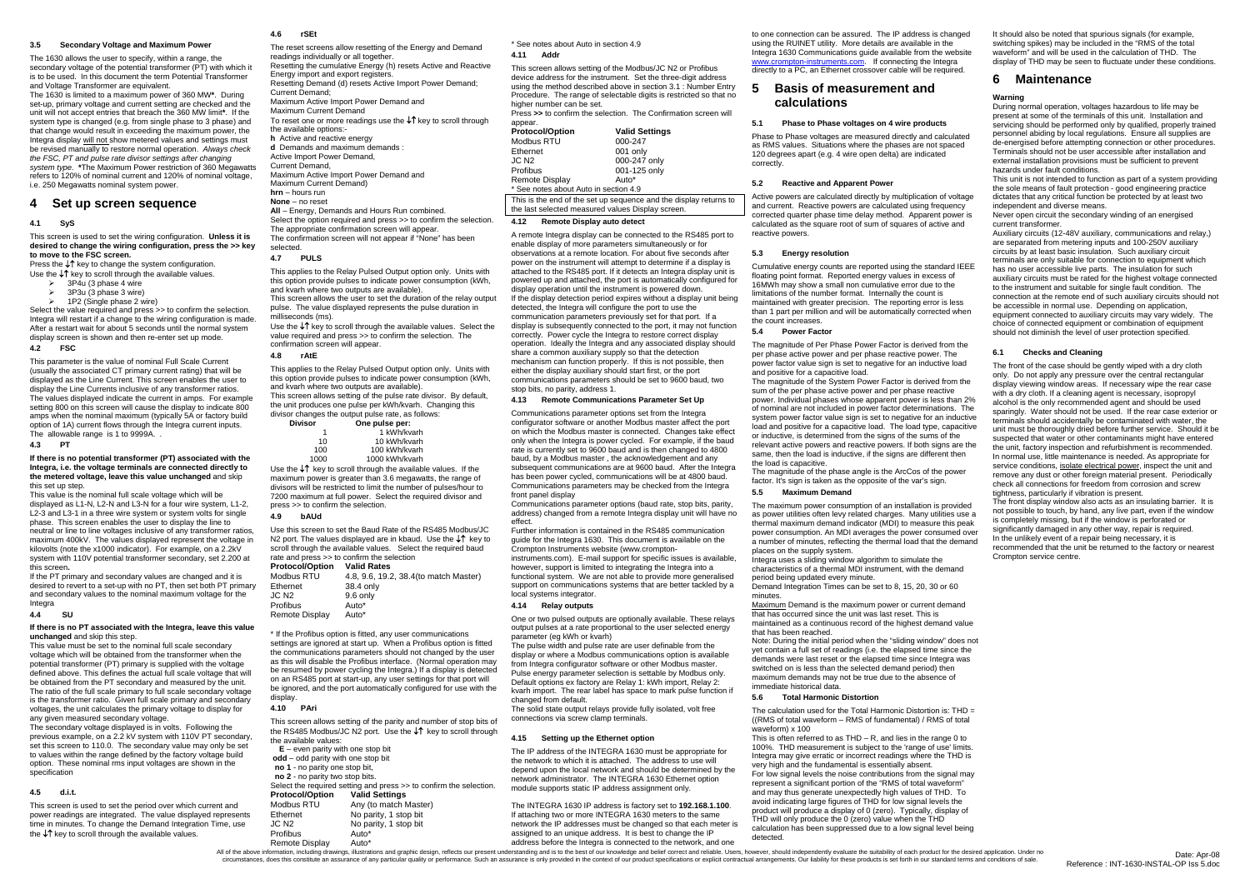#### **3.5 Secondary Voltage and Maximum Power**

The 1630 allows the user to specify, within a range, the secondary voltage of the potential transformer (PT) with which it is to be used. In this document the term Potential Transformer and Voltage Transformer are equivalent.

- ¾ 3P4u (3 phase 4 wire
- 3P3u (3 phase 3 wire) 1P2 (Single phase 2 wire)

Select the value required and press >> to confirm the selection. Integra will restart if a change to the wiring configuration is made. After a restart wait for about 5 seconds until the normal system display screen is shown and then re-enter set up mode.

This parameter is the value of nominal Full Scale Current (usually the associated CT primary current rating) that will be displayed as the Line Current. This screen enables the user to display the Line Currents inclusive of any transformer ratios. The values displayed indicate the current in amps. For example setting 800 on this screen will cause the display to indicate 800 amps when the nominal maximum (typically 5A or factory build option of 1A) current flows through the Integra current inputs. The allowable range is 1 to 9999A.

The 1630 is limited to a maximum power of 360 MW**\***. During set-up, primary voltage and current setting are checked and the unit will not accept entries that breach the 360 MW limit**\***. If the system type is changed (e.g. from single phase to 3 phase) and that change would result in exceeding the maximum power, the Integra display will not show metered values and settings must be revised manually to restore normal operation. *Always check the FSC, PT and pulse rate divisor settings after changing system type.* **\***The Maximum Power restriction of 360 Megawatts refers to 120% of nominal current and 120% of nominal voltage, i.e. 250 Megawatts nominal system power.

### **4 Set up screen sequence**

#### **4.1 SyS**

This screen is used to set the wiring configuration. **Unless it is desired to change the wiring configuration, press the >> key to move to the FSC screen.**

Press the ↓↑ key to change the system configuration. Use the ↓↑ key to scroll through the available values.

#### **4.2 FSC**

#### **4.3 PT**

**If there is no potential transformer (PT) associated with the Integra, i.e. the voltage terminals are connected directly to the metered voltage, leave this value unchanged** and skip this set up step.

This value is the nominal full scale voltage which will be displayed as L1-N, L2-N and L3-N for a four wire system, L1-2, L2-3 and L3-1 in a three wire system or system volts for single phase. This screen enables the user to display the line to neutral or line to line voltages inclusive of any transformer ratios, maximum 400kV. The values displayed represent the voltage in kilovolts (note the x1000 indicator). For example, on a 2.2kV system with 110V potential transformer secondary, set 2.200 at this screen**.** 

If the PT primary and secondary values are changed and it is desired to revert to a set-up with no PT, then set both PT primary and secondary values to the nominal maximum voltage for the Integra

#### **4.4 SU**

#### **If there is no PT associated with the Integra, leave this value unchanged** and skip this step.

This value must be set to the nominal full scale secondary voltage which will be obtained from the transformer when the potential transformer (PT) primary is supplied with the voltage defined above. This defines the actual full scale voltage that will be obtained from the PT secondary and measured by the unit. The ratio of the full scale primary to full scale secondary voltage is the transformer ratio. Given full scale primary and secondary voltages, the unit calculates the primary voltage to display for any given measured secondary voltage.

Press **>>** to confirm the selection. The Confirmation screen will appear.<br>**Protoc** 

The secondary voltage displayed is in volts. Following the previous example, on a 2.2 kV system with 110V PT secondary, set this screen to 110.0. The secondary value may only be set to values within the range defined by the factory voltage build option. These nominal rms input voltages are shown in the specification

#### **4.5 d.i.t.**

This screen is used to set the period over which current and power readings are integrated. The value displayed represents time in minutes. To change the Demand Integration Time, use the ↓↑ key to scroll through the available values.

#### **4.6 rSEt**

The reset screens allow resetting of the Energy and Demand readings individually or all together. Resetting the cumulative Energy (h) resets Active and Reactive Energy import and export registers. Resetting Demand (d) resets Active Import Power Demand; Current Demand; Maximum Active Import Power Demand and Maximum Current Demand To reset one or more readings use the ↓↑ key to scroll through the available options: **h** Active and reactive energy **d** Demands and maximum demands : Active Import Power Demand, Current Demand, Maximum Active Import Power Demand and Maximum Current Demand) **hrn** – hours run **None** – no reset **All** – Energy, Demands and Hours Run combined. Select the option required and press >> to confirm the selection. The appropriate confirmation screen will appear. The confirmation screen will not appear if "None" has been

> instruments.com). E-mail support for specific issues is available. however, support is limited to integrating the Integra into a functional system. We are not able to provide more generalised

selected.

#### **4.7 PULS**

This applies to the Relay Pulsed Output option only. Units with this option provide pulses to indicate power consumption (kWh, and kvarh where two outputs are available). This screen allows the user to set the duration of the relay output pulse. The value displayed represents the pulse duration in milliseconds (ms).

Use the ↓↑ key to scroll through the available values. Select the value required and press >> to confirm the selection. The confirmation screen will appear.

#### **4.8 rAtE**

to one connection can be assured. The IP address is changed using the RUINET utility. More details are available in the Integra 1630 Communications guide available from the website www.crompton-instruments.com. If connecting the Integra directly to a PC, an Ethernet crossover cable will be required.

This applies to the Relay Pulsed Output option only. Units with this option provide pulses to indicate power consumption (kWh, and kvarh where two outputs are available). This screen allows setting of the pulse rate divisor. By default, the unit produces one pulse per kWh/kvarh. Changing this divisor changes the output pulse rate, as follows:

| <b>Divisor</b> | One pulse per:                                       |
|----------------|------------------------------------------------------|
|                | 1 kWh/kvarh                                          |
| 10             | 10 kWh/kvarh                                         |
| 100            | 100 kWh/kvarh                                        |
| 1000           | 1000 kWh/kvarh                                       |
|                | the $\uparrow$ keute coroll through the overlobe $u$ |

 Use the ↓↑ key to scroll through the available values. If the maximum power is greater than 3.6 megawatts, the range of divisors will be restricted to limit the number of pulses/hour to 7200 maximum at full power. Select the required divisor and press >> to confirm the selection.

#### **4.9 bAUd**

Eth

Use this screen to set the Baud Rate of the RS485 Modbus/JC N2 port. The values displayed are in kbaud. Use the ↓↑ key to scroll through the available values. Select the required baud rate and press >> to confirm the selection

#### **Protocol/Option Valid Rates**  Modbus RTU 4.8, 9.6, 19.2, 38.4(to match Master) 38.4 only

| Ethernet          | 38.4 only |
|-------------------|-----------|
| JC N <sub>2</sub> | 9.6 only  |
| Profibus          | Auto*     |
| Remote Display    | Auto*     |
|                   |           |

\* If the Profibus option is fitted, any user communications settings are ignored at start up. When a Profibus option is fitted the communications parameters should not changed by the user as this will disable the Profibus interface. (Normal operation may be resumed by power cycling the Integra.) If a display is detected on an RS485 port at start-up, any user settings for that port will be ignored, and the port automatically configured for use with the display.

Integra uses a sliding window algorithm to simulate the characteristics of a thermal MDI instrument, with the demand period being updated every minute.

#### **4.10 PAri**

Maximum Demand is the maximum power or current demand that has occurred since the unit was last reset. This is maintained as a continuous record of the highest demand value that has been reached.

This screen allows setting of the parity and number of stop bits of the RS485 Modbus/JC N2 port. Use the ↓↑ key to scroll through

| the available values:                 |                                                                    |  |  |
|---------------------------------------|--------------------------------------------------------------------|--|--|
|                                       | $E$ – even parity with one stop bit                                |  |  |
| $odd - odd$ parity with one stop bit  |                                                                    |  |  |
| no 1 - no parity one stop bit,        |                                                                    |  |  |
| no 2 - no parity two stop bits.       |                                                                    |  |  |
|                                       | Select the required setting and press >> to confirm the selection. |  |  |
| <b>Protocol/Option Valid Settings</b> |                                                                    |  |  |
| <b>Modbus RTU</b>                     | Any (to match Master)                                              |  |  |
| Ethernet                              | No parity, 1 stop bit                                              |  |  |
| JC N <sub>2</sub>                     | No parity, 1 stop bit                                              |  |  |
| Profibus                              | Auto*                                                              |  |  |
| Remote Display                        | Auto*                                                              |  |  |

\* See notes about Auto in section 4.9 **4.11 Addr** 

> This is often referred to as  $THD - R$ , and lies in the range 0 to 100%. THD measurement is subject to the 'range of use' limits. Integra may give erratic or incorrect readings where the THD is very high and the fundamental is essentially absent. For low signal levels the noise contributions from the signal may represent a significant portion of the "RMS of total waveform" and may thus generate unexpectedly high values of THD. To avoid indicating large figures of THD for low signal levels the product will produce a display of 0 (zero). Typically, display of THD will only produce the 0 (zero) value when the THD calculation has been suppressed due to a low signal level being detected.

Remote Display Auto\* Autothom Autothom and practices before the Integra is connected to the network, and one<br>All of the above information, including drawings, illustrations and graphic design, reflects our present understa circumstances, does this constitute an assurance of any particular quality or performance. Such an assurance is only provided in the context of our product specifications or explicit contractual arrangements. Our liability

This screen allows setting of the Modbus/JC N2 or Profibus device address for the instrument. Set the three-digit address using the method described above in section 3.1 : Number Entry Procedure. The range of selectable digits is restricted so that no higher number can be set.

It should also be noted that spurious signals (for example, switching spikes) may be included in the "RMS of the total waveform" and will be used in the calculation of THD. The display of THD may be seen to fluctuate under these conditions.

| <b>Protocol/Option</b>                                            | <b>Valid Settings</b> |  |
|-------------------------------------------------------------------|-----------------------|--|
| Modbus RTU                                                        | 000-247               |  |
| Ethernet                                                          | 001 only              |  |
| JC N <sub>2</sub>                                                 | 000-247 only          |  |
| Profibus                                                          | 001-125 only          |  |
| Remote Display                                                    | Auto*                 |  |
| * See notes about Auto in section 4.9                             |                       |  |
| This is the end of the set up sequence and the display returns to |                       |  |

the last selected measured values Display screen.

# **4.12 Remote Display auto detect**

A remote Integra display can be connected to the RS485 port to enable display of more parameters simultaneously or for observations at a remote location. For about five seconds after power on the instrument will attempt to determine if a display is attached to the RS485 port. If it detects an Integra display unit is powered up and attached, the port is automatically configured for display operation until the instrument is powered down. If the display detection period expires without a display unit being detected, the Integra will configure the port to use the communication parameters previously set for that port. If a display is subsequently connected to the port, it may not function correctly. Power cycle the Integra to restore correct display operation. Ideally the Integra and any associated display should share a common auxiliary supply so that the detection mechanism can function properly. If this is not possible, then either the display auxiliary should start first, or the port communications parameters should be set to 9600 baud, two stop bits, no parity, address 1.

#### **4.13 Remote Communications Parameter Set Up**

Communications parameter options set from the Integra configurator software or another Modbus master affect the port on which the Modbus master is connected. Changes take effect only when the Integra is power cycled. For example, if the baud rate is currently set to 9600 baud and is then changed to 4800 baud, by a Modbus master , the acknowledgement and any subsequent communications are at 9600 baud. After the Integra has been power cycled, communications will be at 4800 baud. Communications parameters may be checked from the Integra front panel display

Communications parameter options (baud rate, stop bits, parity, address) changed from a remote Integra display unit will have no effect.

Further information is contained in the RS485 communication guide for the Integra 1630. This document is available on the Crompton Instruments website (www.crompton-

support on communications systems that are better tackled by a local systems integrator. **4.14 Relay outputs** 

One or two pulsed outputs are optionally available. These relays output pulses at a rate proportional to the user selected energy parameter (eg kWh or kvarh)

The pulse width and pulse rate are user definable from the display or where a Modbus communications option is available from Integra configurator software or other Modbus master. Pulse energy parameter selection is settable by Modbus only. Default options ex factory are Relay 1: kWh import, Relay 2: kvarh import. The rear label has space to mark pulse function if changed from default.

The solid state output relays provide fully isolated, volt free connections via screw clamp terminals.

#### **4.15 Setting up the Ethernet option**

The IP address of the INTEGRA 1630 must be appropriate for the network to which it is attached. The address to use will depend upon the local network and should be determined by the network administrator. The INTEGRA 1630 Ethernet option module supports static IP address assignment only.

The INTEGRA 1630 IP address is factory set to **192.168.1.100**. If attaching two or more INTEGRA 1630 meters to the same network the IP addresses must be changed so that each meter is assigned to an unique address. It is best to change the IP address before the Integra is connected to the network, and one

# **5 Basis of measurement and calculations**

#### **5.1 Phase to Phase voltages on 4 wire products**

Phase to Phase voltages are measured directly and calculated as RMS values. Situations where the phases are not spaced 120 degrees apart (e.g. 4 wire open delta) are indicated correctly.

### **5.2 Reactive and Apparent Power**

Active powers are calculated directly by multiplication of voltage and current. Reactive powers are calculated using frequency corrected quarter phase time delay method. Apparent power is calculated as the square root of sum of squares of active and reactive powers.

#### **5.3 Energy resolution**

Cumulative energy counts are reported using the standard IEEE floating point format. Reported energy values in excess of 16MWh may show a small non cumulative error due to the limitations of the number format. Internally the count is maintained with greater precision. The reporting error is less than 1 part per million and will be automatically corrected when the count increases.

#### **5.4 Power Factor**

The magnitude of Per Phase Power Factor is derived from the per phase active power and per phase reactive power. The power factor value sign is set to negative for an inductive load and positive for a capacitive load.

The magnitude of the System Power Factor is derived from the sum of the per phase active power and per phase reactive power. Individual phases whose apparent power is less than 2% of nominal are not included in power factor determinations. The system power factor value sign is set to negative for an inductive load and positive for a capacitive load. The load type, capacitive or inductive, is determined from the signs of the sums of the relevant active powers and reactive powers. If both signs are the same, then the load is inductive, if the signs are different then the load is capacitive.

The magnitude of the phase angle is the ArcCos of the power factor. It's sign is taken as the opposite of the var's sign. **5.5 Maximum Demand** 

The maximum power consumption of an installation is provided as power utilities often levy related charges. Many utilities use a thermal maximum demand indicator (MDI) to measure this peak power consumption. An MDI averages the power consumed over a number of minutes, reflecting the thermal load that the demand places on the supply system.

Demand Integration Times can be set to 8, 15, 20, 30 or 60 minutes.

Note: During the initial period when the "sliding window" does not yet contain a full set of readings (i.e. the elapsed time since the demands were last reset or the elapsed time since Integra was switched on is less than the selected demand period) then maximum demands may not be true due to the absence of immediate historical data.

#### **5.6 Total Harmonic Distortion**

The calculation used for the Total Harmonic Distortion is: THD = ((RMS of total waveform – RMS of fundamental) / RMS of total waveform) x 100

# **6 Maintenance**

# **Warning**

During normal operation, voltages hazardous to life may be present at some of the terminals of this unit. Installation and servicing should be performed only by qualified, properly trained personnel abiding by local regulations. Ensure all supplies are de-energised before attempting connection or other procedures. Terminals should not be user accessible after installation and external installation provisions must be sufficient to prevent hazards under fault conditions.

This unit is not intended to function as part of a system providing the sole means of fault protection - good engineering practice dictates that any critical function be protected by at least two independent and diverse means.

Never open circuit the secondary winding of an energised current transformer.

Auxiliary circuits (12-48V auxiliary, communications and relay,) are separated from metering inputs and 100-250V auxiliary circuits by at least basic insulation. Such auxiliary circuit terminals are only suitable for connection to equipment which has no user accessible live parts. The insulation for such auxiliary circuits must be rated for the highest voltage connected to the instrument and suitable for single fault condition. The connection at the remote end of such auxiliary circuits should not be accessible in normal use. Depending on application, equipment connected to auxiliary circuits may vary widely. The choice of connected equipment or combination of equipment should not diminish the level of user protection specified.

#### **6.1 Checks and Cleaning**

The front of the case should be gently wiped with a dry cloth only. Do not apply any pressure over the central rectangular display viewing window areas. If necessary wipe the rear case with a dry cloth. If a cleaning agent is necessary, isopropyl alcohol is the only recommended agent and should be used sparingly. Water should not be used. If the rear case exterior or terminals should accidentally be contaminated with water, the unit must be thoroughly dried before further service. Should it be suspected that water or other contaminants might have entered the unit, factory inspection and refurbishment is recommended. In normal use, little maintenance is needed. As appropriate for service conditions, isolate electrical power, inspect the unit and remove any dust or other foreign material present. Periodically check all connections for freedom from corrosion and screw tightness, particularly if vibration is present. The front display window also acts as an insulating barrier. It is

not possible to touch, by hand, any live part, even if the window is completely missing, but if the window is perforated or significantly damaged in any other way, repair is required. In the unlikely event of a repair being necessary, it is recommended that the unit be returned to the factory or nearest Crompton service centre.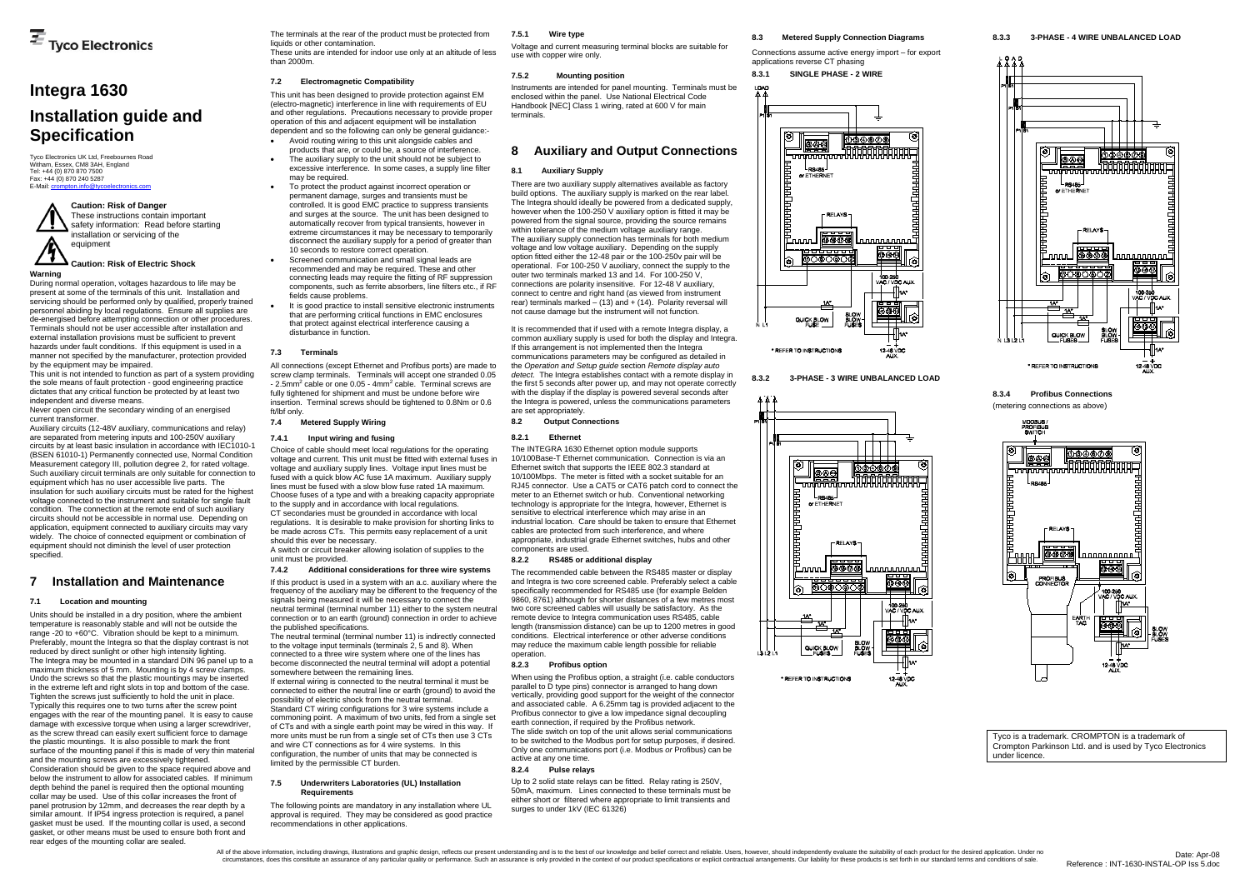Tyco Electronics UK Ltd, Freebournes Road Witham, Essex, CM8 3AH, England Tel: +44 (0) 870 870 7500 Fax: +44 (0) 870 240 5287 E-Mail: cr

# **Integra 1630 Installation guide and Specification**

**Warning** 

Never open circuit the secondary winding of an energised current transformer.

During normal operation, voltages hazardous to life may be present at some of the terminals of this unit. Installation and servicing should be performed only by qualified, properly trained personnel abiding by local regulations. Ensure all supplies are de-energised before attempting connection or other procedures. Terminals should not be user accessible after installation and external installation provisions must be sufficient to prevent hazards under fault conditions. If this equipment is used in a manner not specified by the manufacturer, protection provided by the equipment may be impaired.

This unit is not intended to function as part of a system providing the sole means of fault protection - good engineering practice dictates that any critical function be protected by at least two independent and diverse means.

 Auxiliary circuits (12-48V auxiliary, communications and relay) are separated from metering inputs and 100-250V auxiliary circuits by at least basic insulation in accordance with IEC1010-1 (BSEN 61010-1) Permanently connected use, Normal Condition Measurement category III, pollution degree 2, for rated voltage. Such auxiliary circuit terminals are only suitable for connection to equipment which has no user accessible live parts. The insulation for such auxiliary circuits must be rated for the highest voltage connected to the instrument and suitable for single fault condition. The connection at the remote end of such auxiliary circuits should not be accessible in normal use. Depending on application, equipment connected to auxiliary circuits may vary widely. The choice of connected equipment or combination of equipment should not diminish the level of user protection specified.

# **7 Installation and Maintenance**

#### **7.1 Location and mounting**

Units should be installed in a dry position, where the ambient temperature is reasonably stable and will not be outside the range -20 to +60°C. Vibration should be kept to a minimum. Preferably, mount the Integra so that the display contrast is not reduced by direct sunlight or other high intensity lighting. The Integra may be mounted in a standard DIN 96 panel up to a maximum thickness of 5 mm. Mounting is by 4 screw clamps. Undo the screws so that the plastic mountings may be inserted in the extreme left and right slots in top and bottom of the case. Tighten the screws just sufficiently to hold the unit in place. Typically this requires one to two turns after the screw point engages with the rear of the mounting panel. It is easy to cause damage with excessive torque when using a larger screwdriver, as the screw thread can easily exert sufficient force to damage the plastic mountings. It is also possible to mark the front surface of the mounting panel if this is made of very thin material and the mounting screws are excessively tightened. Consideration should be given to the space required above and below the instrument to allow for associated cables. If minimum depth behind the panel is required then the optional mounting collar may be used. Use of this collar increases the front of panel protrusion by 12mm, and decreases the rear depth by a similar amount. If IP54 ingress protection is required, a panel gasket must be used. If the mounting collar is used, a second gasket, or other means must be used to ensure both front and rear edges of the mounting collar are sealed.

connection or to an earth (ground) connection in order to achieve the published specifications. The neutral terminal (terminal number 11) is indirectly connected

to the voltage input terminals (terminals  $2, 5$  and 8). When connected to a three wire system where one of the lines has become disconnected the neutral terminal will adopt a potential

The terminals at the rear of the product must be protected from liquids or other contamination.

These units are intended for indoor use only at an altitude of less than 2000m.

#### **7.2 Electromagnetic Compatibility**

This unit has been designed to provide protection against EM (electro-magnetic) interference in line with requirements of EU and other regulations. Precautions necessary to provide proper operation of this and adjacent equipment will be installation dependent and so the following can only be general guidance:-

- Avoid routing wiring to this unit alongside cables and products that are, or could be, a source of interference.
- The auxiliary supply to the unit should not be subject to excessive interference. In some cases, a supply line filter may be required.
- To protect the product against incorrect operation or permanent damage, surges and transients must be controlled. It is good EMC practice to suppress transients and surges at the source. The unit has been designed to automatically recover from typical transients, however in extreme circumstances it may be necessary to temporarily disconnect the auxiliary supply for a period of greater than 10 seconds to restore correct operation.
- Screened communication and small signal leads are recommended and may be required. These and other connecting leads may require the fitting of RF suppression components, such as ferrite absorbers, line filters etc., if RF fields cause problems.
- It is good practice to install sensitive electronic instruments that are performing critical functions in EMC enclosures that protect against electrical interference causing a disturbance in function.

#### **7.3 Terminals**

All connections (except Ethernet and Profibus ports) are made to screw clamp terminals. Terminals will accept one stranded 0.05  $-$  2.5mm<sup>2</sup> cable or one 0.05  $-$  4mm<sup>2</sup> cable. Terminal screws are fully tightened for shipment and must be undone before wire insertion. Terminal screws should be tightened to 0.8Nm or 0.6 ft/lbf only.

#### **7.4 Metered Supply Wiring**

#### **7.4.1 Input wiring and fusing**

Choice of cable should meet local regulations for the operating voltage and current. This unit must be fitted with external fuses in voltage and auxiliary supply lines. Voltage input lines must be fused with a quick blow AC fuse 1A maximum. Auxiliary supply lines must be fused with a slow blow fuse rated 1A maximum. Choose fuses of a type and with a breaking capacity appropriate to the supply and in accordance with local regulations. CT secondaries must be grounded in accordance with local regulations. It is desirable to make provision for shorting links to be made across CTs. This permits easy replacement of a unit should this ever be necessary.

A switch or circuit breaker allowing isolation of supplies to the unit must be provided.

#### **7.4.2 Additional considerations for three wire systems**

If this product is used in a system with an a.c. auxiliary where the frequency of the auxiliary may be different to the frequency of the signals being measured it will be necessary to connect the neutral terminal (terminal number 11) either to the system neutral

somewhere between the remaining lines. If external wiring is connected to the neutral terminal it must be connected to either the neutral line or earth (ground) to avoid the possibility of electric shock from the neutral terminal. Standard CT wiring configurations for 3 wire systems include a commoning point. A maximum of two units, fed from a single set

of CTs and with a single earth point may be wired in this way. If more units must be run from a single set of CTs then use 3 CTs and wire CT connections as for 4 wire systems. In this configuration, the number of units that may be connected is limited by the permissible CT burden.

#### **7.5 Underwriters Laboratories (UL) Installation Requirements**

The following points are mandatory in any installation where UL approval is required. They may be considered as good practice recommendations in other applications.

#### **7.5.1 Wire type**

Voltage and current measuring terminal blocks are suitable for use with copper wire only.

#### **7.5.2 Mounting position**

Instruments are intended for panel mounting. Terminals must be enclosed within the panel. Use National Electrical Code Handbook [NEC] Class 1 wiring, rated at 600 V for main terminals.

# **8 Auxiliary and Output Connections**

#### **8.1 Auxiliary Supply**

There are two auxiliary supply alternatives available as factory build options. The auxiliary supply is marked on the rear label. The Integra should ideally be powered from a dedicated supply, however when the 100-250 V auxiliary option is fitted it may be powered from the signal source, providing the source remains within tolerance of the medium voltage auxiliary range. The auxiliary supply connection has terminals for both medium voltage and low voltage auxiliary. Depending on the supply option fitted either the 12-48 pair or the 100-250v pair will be operational. For 100-250 V auxiliary, connect the supply to the outer two terminals marked 13 and 14. For 100-250 V, connections are polarity insensitive. For 12-48 V auxiliary, connect to centre and right hand (as viewed from instrument rear) terminals marked  $-$  (13) and  $+$  (14). Polarity reversal will not cause damage but the instrument will not function.

It is recommended that if used with a remote Integra display, a common auxiliary supply is used for both the display and Integra. If this arrangement is not implemented then the Integra communications parameters may be configured as detailed in the *Operation and Setup guide* section *Remote display auto detect*. The Integra establishes contact with a remote display in the first 5 seconds after power up, and may not operate correctly with the display if the display is powered several seconds after the Integra is powered, unless the communications parameters are set appropriately.

**8.2 Output Connections** 

#### **8.2.1 Ethernet**

The INTEGRA 1630 Ethernet option module supports 10/100Base-T Ethernet communication. Connection is via an Ethernet switch that supports the IEEE 802.3 standard at 10/100Mbps. The meter is fitted with a socket suitable for an RJ45 connector. Use a CAT5 or CAT6 patch cord to connect the meter to an Ethernet switch or hub. Conventional networking technology is appropriate for the Integra, however, Ethernet is sensitive to electrical interference which may arise in an industrial location. Care should be taken to ensure that Ethernet cables are protected from such interference, and where appropriate, industrial grade Ethernet switches, hubs and other components are used.

#### **8.2.2 RS485 or additional display**

The recommended cable between the RS485 master or display and Integra is two core screened cable. Preferably select a cable specifically recommended for RS485 use (for example Belden 9860, 8761) although for shorter distances of a few metres most two core screened cables will usually be satisfactory. As the remote device to Integra communication uses RS485, cable length (transmission distance) can be up to 1200 metres in good conditions. Electrical interference or other adverse conditions may reduce the maximum cable length possible for reliable operation.

#### **8.2.3 Profibus option**

When using the Profibus option, a straight (i.e. cable conductors parallel to D type pins) connector is arranged to hang down vertically, providing good support for the weight of the connector and associated cable. A 6.25mm tag is provided adjacent to the Profibus connector to give a low impedance signal decoupling earth connection, if required by the Profibus network.

The slide switch on top of the unit allows serial communications to be switched to the Modbus port for setup purposes, if desired. Only one communications port (i.e. Modbus *or* Profibus) can be active at any one time.

#### **8.2.4 Pulse relays**

Up to 2 solid state relays can be fitted. Relay rating is 250V, 50mA, maximum. Lines connected to these terminals must be either short or filtered where appropriate to limit transients and surges to under 1kV (IEC 61326)

# **8.3 Metered Supply Connection Diagrams**  Connections assume active energy import – for export



**8.3.2 3-PHASE - 3 WIRE UNBALANCED LOAD** 





**8.3.4 Profibus Connections** (metering connections as above)



Tyco is a trademark. CROMPTON is a trademark of Crompton Parkinson Ltd. and is used by Tyco Electronics under licence.

### **Caution: Risk of Danger**

These instructions contain important safety information: Read before starting installation or servicing of the equipment

### **Caution: Risk of Electric Shock**